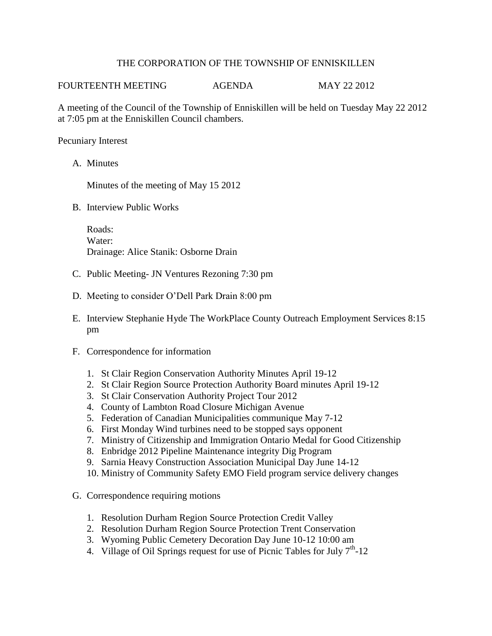## THE CORPORATION OF THE TOWNSHIP OF ENNISKILLEN

FOURTEENTH MEETING AGENDA MAY 22 2012

A meeting of the Council of the Township of Enniskillen will be held on Tuesday May 22 2012 at 7:05 pm at the Enniskillen Council chambers.

Pecuniary Interest

A. Minutes

Minutes of the meeting of May 15 2012

B. Interview Public Works

Roads: Water: Drainage: Alice Stanik: Osborne Drain

- C. Public Meeting- JN Ventures Rezoning 7:30 pm
- D. Meeting to consider O'Dell Park Drain 8:00 pm
- E. Interview Stephanie Hyde The WorkPlace County Outreach Employment Services 8:15 pm
- F. Correspondence for information
	- 1. St Clair Region Conservation Authority Minutes April 19-12
	- 2. St Clair Region Source Protection Authority Board minutes April 19-12
	- 3. St Clair Conservation Authority Project Tour 2012
	- 4. County of Lambton Road Closure Michigan Avenue
	- 5. Federation of Canadian Municipalities communique May 7-12
	- 6. First Monday Wind turbines need to be stopped says opponent
	- 7. Ministry of Citizenship and Immigration Ontario Medal for Good Citizenship
	- 8. Enbridge 2012 Pipeline Maintenance integrity Dig Program
	- 9. Sarnia Heavy Construction Association Municipal Day June 14-12
	- 10. Ministry of Community Safety EMO Field program service delivery changes
- G. Correspondence requiring motions
	- 1. Resolution Durham Region Source Protection Credit Valley
	- 2. Resolution Durham Region Source Protection Trent Conservation
	- 3. Wyoming Public Cemetery Decoration Day June 10-12 10:00 am
	- 4. Village of Oil Springs request for use of Picnic Tables for July  $7<sup>th</sup>$ -12